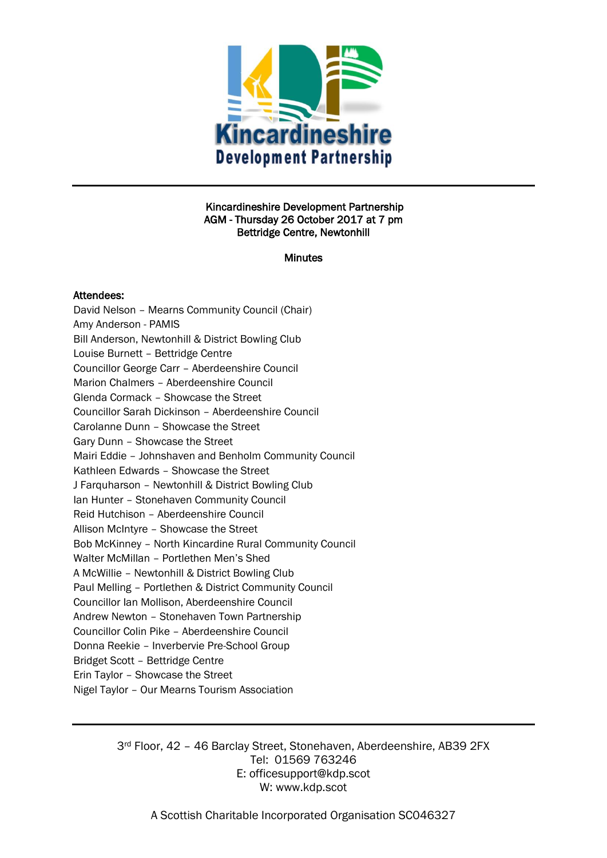

### Kincardineshire Development Partnership AGM - Thursday 26 October 2017 at 7 pm Bettridge Centre, Newtonhill

**Minutes** 

### Attendees:

David Nelson – Mearns Community Council (Chair) Amy Anderson - PAMIS Bill Anderson, Newtonhill & District Bowling Club Louise Burnett – Bettridge Centre Councillor George Carr – Aberdeenshire Council Marion Chalmers – Aberdeenshire Council Glenda Cormack – Showcase the Street Councillor Sarah Dickinson – Aberdeenshire Council Carolanne Dunn – Showcase the Street Gary Dunn – Showcase the Street Mairi Eddie – Johnshaven and Benholm Community Council Kathleen Edwards – Showcase the Street J Farquharson – Newtonhill & District Bowling Club Ian Hunter – Stonehaven Community Council Reid Hutchison – Aberdeenshire Council Allison McIntyre – Showcase the Street Bob McKinney – North Kincardine Rural Community Council Walter McMillan – Portlethen Men's Shed A McWillie – Newtonhill & District Bowling Club Paul Melling – Portlethen & District Community Council Councillor Ian Mollison, Aberdeenshire Council Andrew Newton – Stonehaven Town Partnership Councillor Colin Pike – Aberdeenshire Council Donna Reekie – Inverbervie Pre-School Group Bridget Scott – Bettridge Centre Erin Taylor – Showcase the Street Nigel Taylor – Our Mearns Tourism Association

> 3rd Floor, 42 – 46 Barclay Street, Stonehaven, Aberdeenshire, AB39 2FX Tel: 01569 763246 E: officesupport@kdp.scot W: www.kdp.scot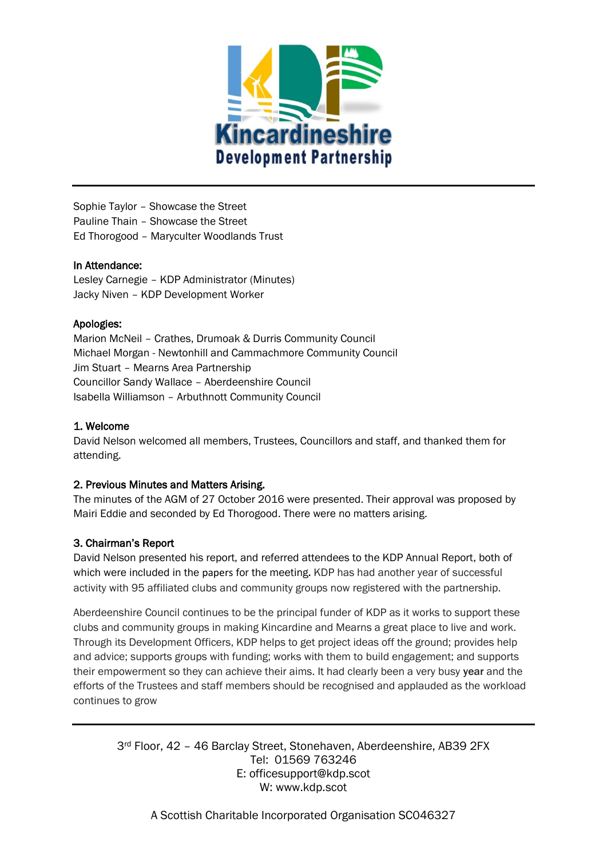

Sophie Taylor – Showcase the Street Pauline Thain – Showcase the Street Ed Thorogood – Maryculter Woodlands Trust

## In Attendance:

Lesley Carnegie – KDP Administrator (Minutes) Jacky Niven – KDP Development Worker

## Apologies:

Marion McNeil – Crathes, Drumoak & Durris Community Council Michael Morgan - Newtonhill and Cammachmore Community Council Jim Stuart – Mearns Area Partnership Councillor Sandy Wallace – Aberdeenshire Council Isabella Williamson – Arbuthnott Community Council

## 1. Welcome

David Nelson welcomed all members, Trustees, Councillors and staff, and thanked them for attending.

## 2. Previous Minutes and Matters Arising.

The minutes of the AGM of 27 October 2016 were presented. Their approval was proposed by Mairi Eddie and seconded by Ed Thorogood. There were no matters arising.

# 3. Chairman's Report

David Nelson presented his report, and referred attendees to the KDP Annual Report, both of which were included in the papers for the meeting. KDP has had another year of successful activity with 95 affiliated clubs and community groups now registered with the partnership.

Aberdeenshire Council continues to be the principal funder of KDP as it works to support these clubs and community groups in making Kincardine and Mearns a great place to live and work. Through its Development Officers, KDP helps to get project ideas off the ground; provides help and advice; supports groups with funding; works with them to build engagement; and supports their empowerment so they can achieve their aims. It had clearly been a very busy **year** and the efforts of the Trustees and staff members should be recognised and applauded as the workload continues to grow

3rd Floor, 42 – 46 Barclay Street, Stonehaven, Aberdeenshire, AB39 2FX Tel: 01569 763246 E: officesupport@kdp.scot W: www.kdp.scot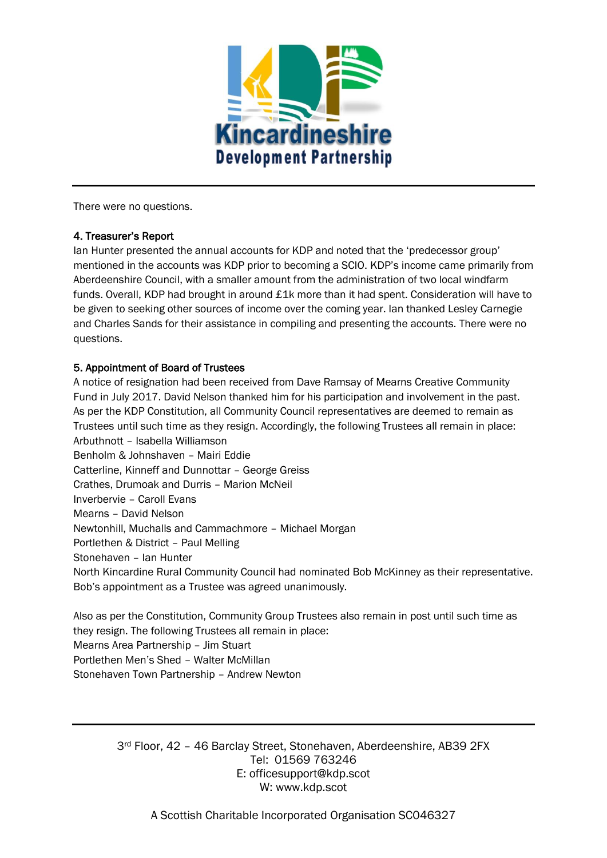

There were no questions.

## 4. Treasurer's Report

Ian Hunter presented the annual accounts for KDP and noted that the 'predecessor group' mentioned in the accounts was KDP prior to becoming a SCIO. KDP's income came primarily from Aberdeenshire Council, with a smaller amount from the administration of two local windfarm funds. Overall, KDP had brought in around £1k more than it had spent. Consideration will have to be given to seeking other sources of income over the coming year. Ian thanked Lesley Carnegie and Charles Sands for their assistance in compiling and presenting the accounts. There were no questions.

## 5. Appointment of Board of Trustees

A notice of resignation had been received from Dave Ramsay of Mearns Creative Community Fund in July 2017. David Nelson thanked him for his participation and involvement in the past. As per the KDP Constitution, all Community Council representatives are deemed to remain as Trustees until such time as they resign. Accordingly, the following Trustees all remain in place: Arbuthnott – Isabella Williamson Benholm & Johnshaven – Mairi Eddie Catterline, Kinneff and Dunnottar – George Greiss Crathes, Drumoak and Durris – Marion McNeil Inverbervie – Caroll Evans Mearns – David Nelson Newtonhill, Muchalls and Cammachmore – Michael Morgan Portlethen & District – Paul Melling Stonehaven – Ian Hunter North Kincardine Rural Community Council had nominated Bob McKinney as their representative. Bob's appointment as a Trustee was agreed unanimously.

Also as per the Constitution, Community Group Trustees also remain in post until such time as they resign. The following Trustees all remain in place: Mearns Area Partnership – Jim Stuart Portlethen Men's Shed – Walter McMillan Stonehaven Town Partnership – Andrew Newton

3rd Floor, 42 – 46 Barclay Street, Stonehaven, Aberdeenshire, AB39 2FX Tel: 01569 763246 E: officesupport@kdp.scot W: www.kdp.scot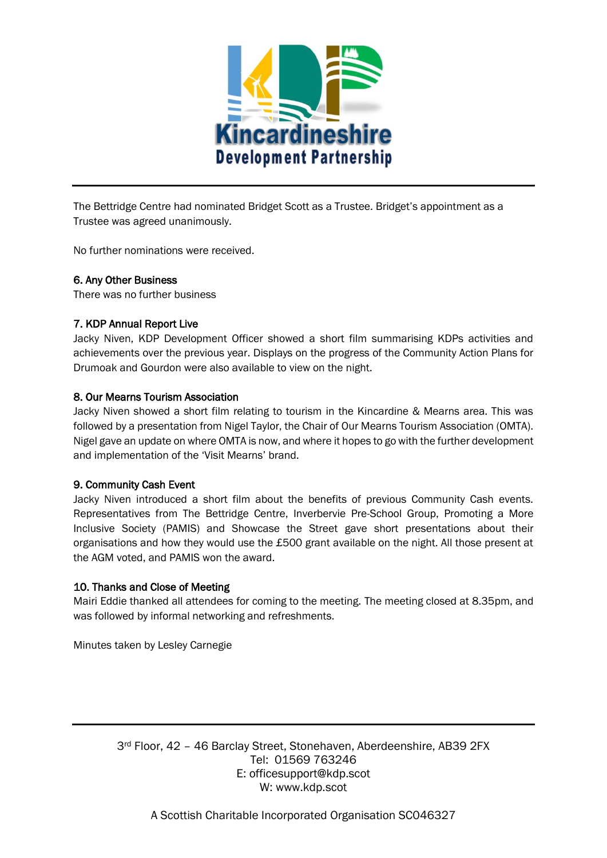

The Bettridge Centre had nominated Bridget Scott as a Trustee. Bridget's appointment as a Trustee was agreed unanimously.

No further nominations were received.

### 6. Any Other Business

There was no further business

### 7. KDP Annual Report Live

Jacky Niven, KDP Development Officer showed a short film summarising KDPs activities and achievements over the previous year. Displays on the progress of the Community Action Plans for Drumoak and Gourdon were also available to view on the night.

### 8. Our Mearns Tourism Association

Jacky Niven showed a short film relating to tourism in the Kincardine & Mearns area. This was followed by a presentation from Nigel Taylor, the Chair of Our Mearns Tourism Association (OMTA). Nigel gave an update on where OMTA is now, and where it hopes to go with the further development and implementation of the 'Visit Mearns' brand.

## 9. Community Cash Event

Jacky Niven introduced a short film about the benefits of previous Community Cash events. Representatives from The Bettridge Centre, Inverbervie Pre-School Group, Promoting a More Inclusive Society (PAMIS) and Showcase the Street gave short presentations about their organisations and how they would use the £500 grant available on the night. All those present at the AGM voted, and PAMIS won the award.

## 10. Thanks and Close of Meeting

Mairi Eddie thanked all attendees for coming to the meeting. The meeting closed at 8.35pm, and was followed by informal networking and refreshments.

Minutes taken by Lesley Carnegie

3rd Floor, 42 – 46 Barclay Street, Stonehaven, Aberdeenshire, AB39 2FX Tel: 01569 763246 E: officesupport@kdp.scot W: www.kdp.scot